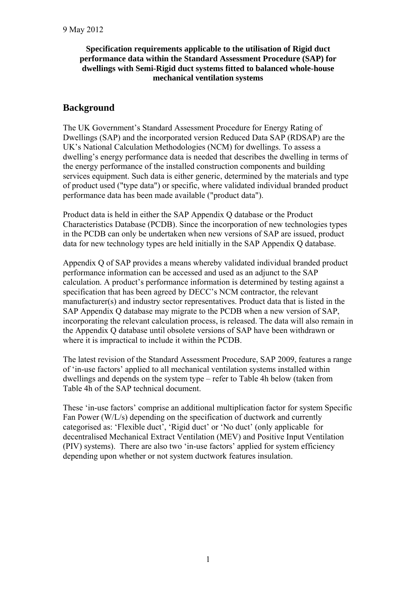### **Specification requirements applicable to the utilisation of Rigid duct performance data within the Standard Assessment Procedure (SAP) for dwellings with Semi-Rigid duct systems fitted to balanced whole-house mechanical ventilation systems**

## **Background**

The UK Government's Standard Assessment Procedure for Energy Rating of Dwellings (SAP) and the incorporated version Reduced Data SAP (RDSAP) are the UK's National Calculation Methodologies (NCM) for dwellings. To assess a dwelling's energy performance data is needed that describes the dwelling in terms of the energy performance of the installed construction components and building services equipment. Such data is either generic, determined by the materials and type of product used ("type data") or specific, where validated individual branded product performance data has been made available ("product data").

Product data is held in either the SAP Appendix Q database or the Product Characteristics Database (PCDB). Since the incorporation of new technologies types in the PCDB can only be undertaken when new versions of SAP are issued, product data for new technology types are held initially in the SAP Appendix Q database.

Appendix Q of SAP provides a means whereby validated individual branded product performance information can be accessed and used as an adjunct to the SAP calculation. A product's performance information is determined by testing against a specification that has been agreed by DECC's NCM contractor, the relevant manufacturer(s) and industry sector representatives. Product data that is listed in the SAP Appendix Q database may migrate to the PCDB when a new version of SAP, incorporating the relevant calculation process, is released. The data will also remain in the Appendix Q database until obsolete versions of SAP have been withdrawn or where it is impractical to include it within the PCDB.

The latest revision of the Standard Assessment Procedure, SAP 2009, features a range of 'in-use factors' applied to all mechanical ventilation systems installed within dwellings and depends on the system type – refer to Table 4h below (taken from Table 4h of the SAP technical document.

These 'in-use factors' comprise an additional multiplication factor for system Specific Fan Power (W/L/s) depending on the specification of ductwork and currently categorised as: 'Flexible duct', 'Rigid duct' or 'No duct' (only applicable for decentralised Mechanical Extract Ventilation (MEV) and Positive Input Ventilation (PIV) systems). There are also two 'in-use factors' applied for system efficiency depending upon whether or not system ductwork features insulation.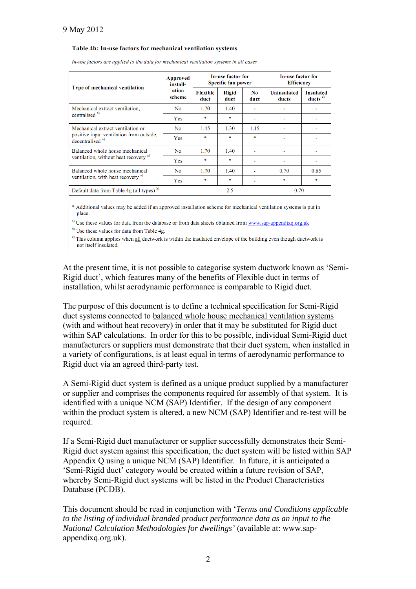#### Table 4h: In-use factors for mechanical ventilation systems

| Type of mechanical ventilation                                                                               | <b>Approved</b><br>install-<br>ation<br>scheme | In-use factor for<br><b>Specific fan power</b> |                      |             | In-use factor for<br><b>Efficiency</b> |                                         |
|--------------------------------------------------------------------------------------------------------------|------------------------------------------------|------------------------------------------------|----------------------|-------------|----------------------------------------|-----------------------------------------|
|                                                                                                              |                                                | <b>Flexible</b><br>duct                        | <b>Rigid</b><br>duct | No.<br>duct | <b>Uninsulated</b><br>ducts            | <b>Insulated</b><br>ducts $\frac{c}{c}$ |
| Mechanical extract ventilation,<br>centralised <sup>a)</sup>                                                 | N <sub>0</sub>                                 | 1.70                                           | 1.40                 |             |                                        |                                         |
|                                                                                                              | Yes                                            | sk:                                            | ×.                   |             |                                        |                                         |
| Mechanical extract ventilation or<br>positive input ventilation from outside,<br>decentralised <sup>a)</sup> | N <sub>0</sub>                                 | 1.45                                           | 1.30                 | 1.15        |                                        | $\overline{\phantom{a}}$                |
|                                                                                                              | Yes                                            | 東                                              | sk.                  | 東           |                                        |                                         |
| Balanced whole house mechanical<br>ventilation, without heat recovery <sup>a)</sup>                          | <b>No</b>                                      | 1.70                                           | 1.40                 |             |                                        |                                         |
|                                                                                                              | Yes                                            | sk:                                            | sk.                  |             |                                        |                                         |
| Balanced whole house mechanical<br>ventilation, with heat recovery <sup>a)</sup>                             | N <sub>0</sub>                                 | 1.70                                           | 1.40                 |             | 0.70                                   | 0.85                                    |
|                                                                                                              | Yes                                            | ×                                              | sk.                  |             | sk.                                    | 東                                       |
| Default data from Table 4g (all types) <sup>b)</sup>                                                         |                                                | 2.5                                            |                      | 0.70        |                                        |                                         |

In-use factors are applied to the data for mechanical ventilation systems in all cases

\* Additional values may be added if an approved installation scheme for mechanical ventilation systems is put in place.

a) Use these values for data from the database or from data sheets obtained from www.sap-appendixq.org.uk

b) Use these values for data from Table 4g.

 $\epsilon$ ) This column applies when all ductwork is within the insulated envelope of the building even though ductwork is not itself insulated.

At the present time, it is not possible to categorise system ductwork known as 'Semi-Rigid duct', which features many of the benefits of Flexible duct in terms of installation, whilst aerodynamic performance is comparable to Rigid duct.

The purpose of this document is to define a technical specification for Semi-Rigid duct systems connected to balanced whole house mechanical ventilation systems (with and without heat recovery) in order that it may be substituted for Rigid duct within SAP calculations. In order for this to be possible, individual Semi-Rigid duct manufacturers or suppliers must demonstrate that their duct system, when installed in a variety of configurations, is at least equal in terms of aerodynamic performance to Rigid duct via an agreed third-party test.

A Semi-Rigid duct system is defined as a unique product supplied by a manufacturer or supplier and comprises the components required for assembly of that system. It is identified with a unique NCM (SAP) Identifier. If the design of any component within the product system is altered, a new NCM (SAP) Identifier and re-test will be required.

If a Semi-Rigid duct manufacturer or supplier successfully demonstrates their Semi-Rigid duct system against this specification, the duct system will be listed within SAP Appendix Q using a unique NCM (SAP) Identifier. In future, it is anticipated a 'Semi-Rigid duct' category would be created within a future revision of SAP, whereby Semi-Rigid duct systems will be listed in the Product Characteristics Database (PCDB).

This document should be read in conjunction with '*Terms and Conditions applicable to the listing of individual branded product performance data as an input to the National Calculation Methodologies for dwellings'* (available at: www.sapappendixq.org.uk).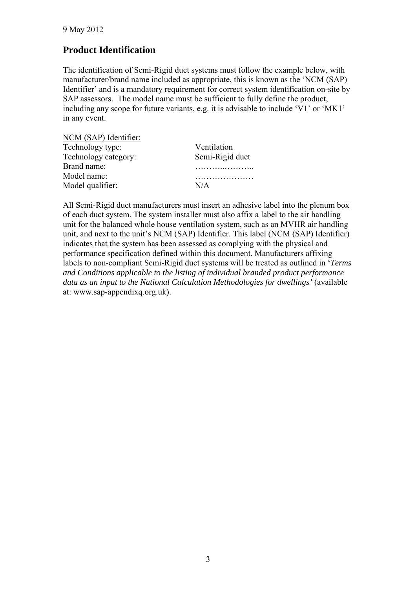# **Product Identification**

The identification of Semi-Rigid duct systems must follow the example below, with manufacturer/brand name included as appropriate, this is known as the 'NCM (SAP) Identifier' and is a mandatory requirement for correct system identification on-site by SAP assessors. The model name must be sufficient to fully define the product, including any scope for future variants, e.g. it is advisable to include 'V1' or 'MK1' in any event.

| NCM (SAP) Identifier: |                 |
|-----------------------|-----------------|
| Technology type:      | Ventilation     |
| Technology category:  | Semi-Rigid duct |
| Brand name:           |                 |
| Model name:           |                 |
| Model qualifier:      | N/A             |

All Semi-Rigid duct manufacturers must insert an adhesive label into the plenum box of each duct system. The system installer must also affix a label to the air handling unit for the balanced whole house ventilation system, such as an MVHR air handling unit, and next to the unit's NCM (SAP) Identifier. This label (NCM (SAP) Identifier) indicates that the system has been assessed as complying with the physical and performance specification defined within this document. Manufacturers affixing labels to non-compliant Semi-Rigid duct systems will be treated as outlined in '*Terms and Conditions applicable to the listing of individual branded product performance data as an input to the National Calculation Methodologies for dwellings'* (available at: www.sap-appendixq.org.uk).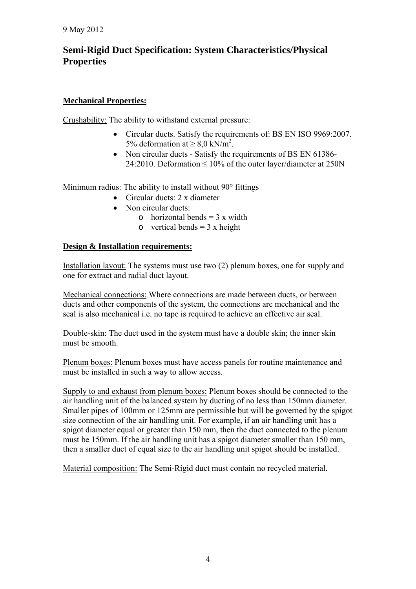# **Semi-Rigid Duct Specification: System Characteristics/Physical Properties**

### **Mechanical Properties:**

Crushability: The ability to withstand external pressure:

- Circular ducts. Satisfy the requirements of: BS EN ISO 9969:2007. 5% deformation at  $\geq 8.0 \text{ kN/m}^2$ .
- Non circular ducts Satisfy the requirements of BS EN 61386-24:2010. Deformation  $\leq 10\%$  of the outer layer/diameter at 250N

Minimum radius: The ability to install without 90° fittings

- Circular ducts: 2 x diameter
- Non circular ducts:
	- o horizontal bends  $= 3x$  width
	- o vertical bends =  $3 \times$  height

### **Design & Installation requirements:**

Installation layout: The systems must use two (2) plenum boxes, one for supply and one for extract and radial duct layout.

Mechanical connections: Where connections are made between ducts, or between ducts and other components of the system, the connections are mechanical and the seal is also mechanical i.e. no tape is required to achieve an effective air seal.

Double-skin: The duct used in the system must have a double skin; the inner skin must be smooth.

Plenum boxes: Plenum boxes must have access panels for routine maintenance and must be installed in such a way to allow access.

Supply to and exhaust from plenum boxes: Plenum boxes should be connected to the air handling unit of the balanced system by ducting of no less than 150mm diameter. Smaller pipes of 100mm or 125mm are permissible but will be governed by the spigot size connection of the air handling unit. For example, if an air handling unit has a spigot diameter equal or greater than 150 mm, then the duct connected to the plenum must be 150mm. If the air handling unit has a spigot diameter smaller than 150 mm, then a smaller duct of equal size to the air handling unit spigot should be installed.

Material composition: The Semi-Rigid duct must contain no recycled material.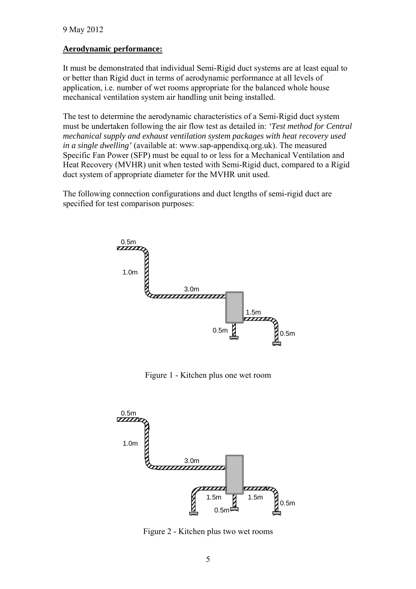### **Aerodynamic performance:**

It must be demonstrated that individual Semi-Rigid duct systems are at least equal to or better than Rigid duct in terms of aerodynamic performance at all levels of application, i.e. number of wet rooms appropriate for the balanced whole house mechanical ventilation system air handling unit being installed.

The test to determine the aerodynamic characteristics of a Semi-Rigid duct system must be undertaken following the air flow test as detailed in: *'Test method for Central mechanical supply and exhaust ventilation system packages with heat recovery used in a single dwelling'* (available at: www.sap-appendixq.org.uk). The measured Specific Fan Power (SFP) must be equal to or less for a Mechanical Ventilation and Heat Recovery (MVHR) unit when tested with Semi-Rigid duct, compared to a Rigid duct system of appropriate diameter for the MVHR unit used.

The following connection configurations and duct lengths of semi-rigid duct are specified for test comparison purposes:



Figure 1 - Kitchen plus one wet room



Figure 2 - Kitchen plus two wet rooms